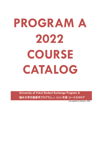# **PROGRAM A 2022 COURSE CATALOG**

**University of Fukui Student Exchange Program A**  福井大学交換留学プログラム A 2022 年度 コースカタログ

Last updated on February , 2022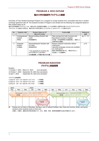# **PROGRAM A 2022 OUTLINE** 福井大学交換留学プログラムA概要

University of Fukui Student Exchange Program A is a program to accept students from universities that have a student exchange agreement with UF. The students enrolled in Program A are divided into the following two categories based on their student status at UF.

福井大学交換留学プログラム A は、福井大学と交流協定を締結している大学等から留学生を受け入れるプログラムです。 プログラム A に参加する学生は、福井大学での学生身分により以下の 2 つのカテゴリーに分類されます。

| No. | Eligibility 対象              | Student Status at UF                                               | Outline 概要                                                                                                             | Reference    |
|-----|-----------------------------|--------------------------------------------------------------------|------------------------------------------------------------------------------------------------------------------------|--------------|
|     |                             | 福井大学での身分                                                           |                                                                                                                        | 参照           |
|     | Undergraduate               | Special Auditing Student with                                      | Take courses from both Common and                                                                                      | pp. $3 - 14$ |
|     | student                     | credit                                                             | Specialized Courses in English.                                                                                        |              |
|     | 学部生                         | 特別聴講学生                                                             | 日本語・日本語事情及び伝統産業と、英語によ                                                                                                  |              |
|     |                             |                                                                    | る専門科目を履修。                                                                                                              |              |
| 2   | Graduate<br>student<br>大学院生 | Special Research Student with<br>no credit<br>特別研究学生               | Receive research instruction without<br>credit given.<br>Japanese language courses are available<br>(no credit given). | p.15         |
|     |                             | * Only applicable for students who<br>are enrolled for 2 semesters | 英語で研究指導を受ける。(単位付与なし)<br>日本語コースの履修可。                                                                                    |              |
|     |                             | ※在籍期間 2 学期の者のみ対象                                                   |                                                                                                                        |              |

# **PROGRAM DURATION**  プログラム実施期間

Duration:

1) October 1, 2022 – March 31, 2023 (one semester)

2) October 1, 2022 – September 30, 2023 (two semesters)

3) April 1, 2023 – September 30, 2023 (one semester)

プログラム実施期間:

|  | 1) 2022 年 10 月 1 日~2023 年 3 月 31 日 | (1 学期間) |
|--|------------------------------------|---------|
|  | 2) 2022 年 10 月 1 日~2023 年 9 月 30 日 | (2 学期間) |
|  | 3) 2023 年  4 月 1 日~2023 年 9 月 30 日 | (1 学期間) |

| 2022 |                                                                |      | 2023 |                         |      |      |     |      |                                                                     |                      |      |
|------|----------------------------------------------------------------|------|------|-------------------------|------|------|-----|------|---------------------------------------------------------------------|----------------------|------|
| Oct. | Nov.                                                           | Dec. | Jan. | Feb.                    | Mar. | Apr. | May | Jun. | July                                                                | Aug.                 | Sep. |
|      | <b>Fall semester</b> (October 1, 2022 – March 31, 2023)<br>秋学期 |      |      | (2022年10月1日~2023年3月31日) |      |      | 春学期 |      | Spring semester (April 1 – September 30, 2023)<br>(2023年4月1日~9月30日) |                      |      |
|      |                                                                |      |      | Spring break<br>春季休業    |      |      |     |      |                                                                     | Summer break<br>夏季休業 |      |

◼ Classes are not held on Saturdays, Sundays, and on national holidays. Also, there are summer, winter, and spring vacations when students study on their own.

土曜日、日曜日、国民の休日等は休業日です。また、夏季、冬季、春季休業期間中は自主学習を行います。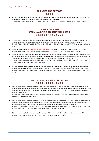# **GUIDANCE AND SUPPORT**  指導体制

◼ Each student will have an academic supervisor. These supervisors and instructors at the Language Center as well as International Center will give the students guidance on their college life. それぞれの学生に受入教員が付きます。受入教員と語学センター、国際センターの教員が、履修科目の選択指導を行います。

# **CURRICULUM FOR SPECIAL AUDITING STUDENT WITH CREDIT**  特別聴講学生向けカリキュラム

- ◼ Special Auditing Students with Credit take courses from both common and specialized course groups. Student's academic performance will be evaluated in each course. Credits will be given if he/she passes the course. 特別聴講学生は、共通科目群と専門科目群両方の科目を履修します。履修した科目ごとに成績評価が行われ、合格すると単位が認 定されます。
- Students must register 10-class hour worth of courses per semester to maintain the College Student visa status. 留学の在留資格を満たすため、各学期とも授業の聴講時間が合計 10 時間以上になるように科目を履修してください。
- Students may also take regular courses that are offered for degree students of the University of Fukui. Those courses are taught in Japanese language and a student needs to have a sufficient level of Japanese language proficiency. The credits earned by taking UF regular courses will be counted in the Specialized Course Group. 十分な日本語能力があれば、福井大学正規課程の学生向けに開講している日本語による科目を履修することもできます。この科目 で修得した単位は、専門科目の単位とすることができます。
- If a student's supervisor permits, credits of one or more courses in Common Course Group that the student earned beyond the below requirement may be counted in the culture and society (CS) field in the Specialized Course Group. 指導教員が認めた場合、修了要単位数を超えて修得した共通科目群の科目の単位を、文化・社会系の専門科目の単位とすることがで きます。

# **EVALUATION, CREDITS & CERTIFICATE**  成績評価・修了証書・単位認定

◼ For Special Auditing Students with Credit, academic transcripts will be issued and sent directly to the office in his/her home institution which is responsible for student exchange programs. The transcript will be issued in the middle of April for students who finish their study after fall semester, and in the middle of October for students who finish their study after spring semester.

特別聴講学生には単位修得証明書が発行され、留学期間が秋学期で終了する場合 4 月中旬に、留学期間が春学期で終了する場合 10 月中旬に在籍大学宛てに送付されます。

- ◼ For Special Auditing Students with Credit who have been enrolled for 2 semesters and earned the required number of credits or more according to the curriculum, A Certificate of Completion will also be issued for applicable students. Please see the table on Page 4 for the required number of credits for a Certificate of Completion 福井大学に 1 年間在学し、カリキュラムに準じて修了要件単位数以上修得した特別聴講学生には、交換留学プログラム(A コース) 修了証書が授与されます。修了証書発行に必要な単位数は 4 ページ目の表のとおりです。
- Students' home institution has responsibility for recognizing and transferring credits that students earn at UF. このプログラムで修得した単位の認定については、派遣元大学の判断に委ねられています。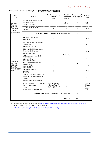#### **Curriculum for Certificate of Completion** 修了証書発行のための必要単位数

| Group<br>群                         | <b>Field 系</b>                                                                                | Number of courses<br>offered<br>科目数               | Credit for<br>each course<br>科目毎単位 | Required credit<br>修了要件単位数 | Reference<br>参照                                      |
|------------------------------------|-----------------------------------------------------------------------------------------------|---------------------------------------------------|------------------------------------|----------------------------|------------------------------------------------------|
| Common<br>Courses                  | JL: Japanese Language and<br>Japanese Affairs<br>日本語·日本事情                                     | 45                                                | 1, 2, or 4                         | 5                          | $PP. 5 - 7$                                          |
| (Offered in<br>Japanese)<br>共通科目   | <b>TI:</b> Traditional Industries<br>伝統産業                                                     | $\mathbf{1}$                                      | $\overline{2}$                     | $\overline{2}$             | P. 7                                                 |
| (日本語で開講)                           |                                                                                               | Subtotal: Common Course Group 共通科目群 小計            |                                    | $\overline{7}$             |                                                      |
|                                    | <b>CS:</b> Culture and Society<br>文化·社会                                                       | 3                                                 |                                    |                            | P. 8                                                 |
|                                    | <b>MSE:</b> Mechanical and System<br>Engineering<br>機械・システム工学                                 | 10                                                |                                    |                            | P. 9                                                 |
|                                    | <b>EEC:</b> Electrical, Electronic and<br><b>Computer Engineering</b><br>電気電子情報工学             | 10                                                | 1 or 2 or 8                        |                            | P. 10                                                |
| Specialized                        | <b>ACE:</b> Architecture and Civil<br>Engineering<br>建築・都市環境工学                                | 5                                                 |                                    |                            | P. 11                                                |
| Courses<br>(Offered in<br>English) | <b>MSB: Materials Science and</b><br>Biotechnology<br>物質·生命化学                                 | 9                                                 |                                    | 18                         | P. 12                                                |
| 専門科目 (英語で<br>開講)                   | <b>AP:</b> Applied Physics<br>応用物理                                                            | $\mathbf{1}$                                      |                                    |                            | P. 13                                                |
|                                    | Courses of School of Global and<br>Community Studies (offered in<br>English)<br>国際地域学部の英語開講科目 | 18                                                | $1$ or $2$                         |                            | P. 14                                                |
|                                    | Others (regular UF courses<br>offered in Japanese)<br>その他<br>(正規生向け日本語開講科目)                   | Refer to Syllabus<br>Search Page*1<br>シラバス検索ページ*1 | $\overline{2}$                     |                            | Refer to<br>Syllabus<br>Search<br>Page <sup>*1</sup> |
|                                    |                                                                                               | Subtotal: Specialized Course Group 専門科目群 小計       |                                    | 18                         |                                                      |
|                                    |                                                                                               |                                                   | Total 合計                           | 25                         |                                                      |

**\*1** Syllabus Search Page can be found at: [https://www.u-fukui.ac.jp/cont\\_life/academic/instruction/class\\_bunkyo/](https://www.u-fukui.ac.jp/cont_life/academic/instruction/class_bunkyo/) シラバス検索ページは、以下ウェブページをご参照ください。 [https://www.u-fukui.ac.jp/cont\\_life/academic/instruction/class\\_bunkyo/](https://www.u-fukui.ac.jp/cont_life/academic/instruction/class_bunkyo/)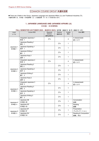# COMMON COURSE GROUP 共通科目群

■ There are 2 fields in this Group: Japanese Language and Japanese Affairs (JL) and Traditional Industries (TI). 共通科目群には、日本語・日本語事情(JL)と伝統産業 (TI)の 2 つの系があります。

## **1. JAPANESE LANGUAGE AND JAPANESE AFFAIRS (JL)**  日本語・日本事情系

#### **FALL SEMESTER (OCTOBER 2022 – MARCH 2023)** 秋学期(**2022** 年 **10** 月~**2023** 年 **3** 月)

| Level<br>レベル        | Course 科目                     | Required<br>Elective<br>選択必修科目 | Elective<br>選択科目   | Credits<br>単位 | Note 備考                        |
|---------------------|-------------------------------|--------------------------------|--------------------|---------------|--------------------------------|
|                     | Integrated Japanese 1<br>総合 1 | $O^*$                          |                    | 4             | 4 classes/week<br>週 4コマ        |
|                     | Japanese Reading 1<br>読む 1    |                                | $O^*$ <sub>3</sub> | $\mathbf{1}$  |                                |
| Japanese 1<br>日本語 1 | Japanese Speaking 1<br>話す 1   |                                | $O^*$ <sub>3</sub> | $\mathbf{1}$  |                                |
|                     | Japanese Writing 1<br>書く 1    |                                | $O^*$ <sub>3</sub> | 1             |                                |
|                     | Japanese Kanji 1<br>漢字 1      |                                | $O^*$ <sub>3</sub> | $\mathbf{1}$  |                                |
|                     | Integrated Japanese 2<br>総合 2 | $O^*$ <sub>2</sub>             |                    | 4             | 4 classes/week<br>週 4コマ        |
|                     | Japanese Reading 2<br>読む 2    |                                | $O^*$ <sub>3</sub> | $\mathbf{1}$  |                                |
| Japanese 2<br>日本語 2 | Japanese Speaking 2<br>話す 2   |                                | $O^*$ <sub>3</sub> | $\mathbf{1}$  |                                |
|                     | Japanese Writing 2<br>書く 2    |                                | $O^*$ <sub>3</sub> | $\mathbf{1}$  |                                |
|                     | Japanese Kanji 2<br>漢字 2      |                                | $O^*$ <sub>3</sub> | 1             |                                |
|                     | Integrated Japanese 3<br>総合 3 | $O^*$                          |                    | 4             | 4 classes/week<br>週 4コマ        |
| Japanese 3          | Japanese Reading 3<br>読む 3    |                                | $O^*$ <sub>3</sub> | 1             |                                |
| 日本語 3               | Japanese Speaking 3<br>話す 3   |                                | $O^*$ <sub>3</sub> | 1             |                                |
|                     | Japanese Writing 3<br>書く 3    |                                | $O^*$ <sub>3</sub> | $\mathbf{1}$  |                                |
| Japanese 4          | Japanese 4B<br>日本語 4B         |                                | $O^*$              | $\mathbf{1}$  | Conversation<br>会話             |
| 日本語 4               | Japanese 4D<br>日本語 4D         |                                | $O^*$              | 1             | Reading<br>読解                  |
| Japanese 5          | Japanese 5F<br>日本語 5F         |                                | $O^*_{2}$          | $\mathbf 1$   | Presentation<br>プレゼンテーション      |
| 日本語 5               | Japanese 5H<br>日本語 5H         |                                | $O^*_{2}$          | 1             | Reading & Composition<br>読解、作文 |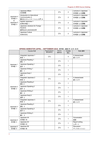|                          | Japanese Affairs                |  | $O^*$ 4 |               | Lectures in Japanese |
|--------------------------|---------------------------------|--|---------|---------------|----------------------|
|                          | 日本事情                            |  |         | $\mathcal{P}$ | 日本語による講義             |
|                          | Introduction to Intercultural   |  |         |               | Lectures in Japanese |
| Japanese 4               | Communication A                 |  | $O^*$ 4 | $\mathcal{P}$ | 日本語による講義             |
| 日本語 4                    | 異文化コミュニケーション入門 A                |  |         |               |                      |
| &<br>Japanese 5<br>日本語 5 | Applied Japanese 1              |  | $O_{4}$ |               | Lectures in Japanese |
|                          | 応用日本語 1                         |  |         | 2             | 日本語による講義             |
|                          | Japanese Literature for Foreign |  |         |               | Lectures in Japanese |
|                          | <b>Students</b>                 |  | $O^*$ 4 | $\mathcal{P}$ | 日本語による講義             |
|                          | 留学生のための日本文学                     |  |         |               |                      |
|                          | Japanese Culture                |  | $O_{4}$ |               | Lectures in Japanese |
|                          | 日本の文化                           |  |         | $\mathcal{P}$ | 日本語による講義             |
|                          |                                 |  |         |               |                      |

## **SPRING SEMESTER (APRIL – SEPTEMBER 2023)** 春学期(**2023** 年 **4** 月~**9** 月)

|                     | Course 科目                     | <b>Required Elective</b><br>選択必修科目 | Elective<br>選択科目   | Credits<br>単位           | Note 備考                       |
|---------------------|-------------------------------|------------------------------------|--------------------|-------------------------|-------------------------------|
|                     | Integrated Japanese 1<br>総合 1 | $O^*$                              |                    | 4                       | 4 classes/week<br>週 4コマ       |
|                     | Japanese Reading 1<br>読む 1    |                                    | $O^*$ <sub>3</sub> | $\mathbf{1}$            |                               |
| Japanese 1<br>日本語 1 | Japanese Speaking 1<br>話す 1   |                                    | $O^*$ <sub>3</sub> | $\mathbf{1}$            |                               |
|                     | Japanese Writing 1<br>書く 1    |                                    | $O^*$ <sub>3</sub> | $\mathbf{1}$            |                               |
|                     | Japanese Kanji 1<br>漢字 1      |                                    | $O^*$ <sub>3</sub> | $\mathbf{1}$            |                               |
|                     | Integrated Japanese 2<br>総合 2 | $O^*$                              |                    | $\overline{\mathbf{4}}$ | 4 classes/week<br>週 4コマ       |
|                     | Japanese Reading 2<br>読む 2    |                                    | $O^*$ <sub>3</sub> | $\mathbf{1}$            |                               |
| Japanese 2<br>日本語 2 | Japanese Speaking 2<br>話す 2   |                                    | $O^*$ <sub>3</sub> | $\mathbf{1}$            |                               |
|                     | Japanese Writing 2<br>書く 2    |                                    | $O^*$ <sub>3</sub> | $\mathbf{1}$            |                               |
|                     | Japanese Kanji 2<br>漢字 2      |                                    | $O^*$ <sub>3</sub> | $\mathbf{1}$            |                               |
|                     | Integrated Japanese 3<br>総合 3 | $O^*$                              |                    | $\overline{\mathbf{4}}$ | 4 classes/week<br>週 4コマ       |
| Japanese 3          | Japanese Reading 3<br>読む 3    |                                    | $O^*$ <sub>3</sub> | $\mathbf{1}$            |                               |
| 日本語 3               | Japanese Speaking 3<br>話す3    |                                    | $O^*$ <sub>3</sub> | $\mathbf{1}$            |                               |
|                     | Japanese Writing 3<br>書く 3    |                                    | $O^*$ <sub>3</sub> | $\mathbf{1}$            |                               |
| Japanese 4<br>日本語 4 | Japanese 4A<br>日本語 4A         |                                    | $O^*$ <sub>2</sub> | $\mathbf{1}$            | Conversation<br>会話            |
|                     | Japanese 4C<br>日本語 4C         |                                    | $O^*$ <sub>2</sub> | $\mathbf{1}$            | Report writing<br>レポート        |
| Japanese 5<br>日本語 5 | Japanese 5E<br>日本語 5E         |                                    | $O^*$              | 1                       | <b>Discussion</b><br>ディスカッション |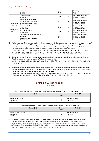|                          | Japanese 5G<br>日本語 5G                                                        | $O^*$   |                | Reading<br>読解                    |
|--------------------------|------------------------------------------------------------------------------|---------|----------------|----------------------------------|
|                          | Japanese Affairs<br>日本事情                                                     | $O_{4}$ | $\overline{2}$ | Lectures in Japanese<br>日本語による講義 |
| Japanese 4               | Multiculturalism in Japan -<br>Practices and Challenges - A<br>多文化共生の取組と課題 A | $O_{4}$ | $\mathfrak{p}$ | Lectures in Japanese<br>日本語による講義 |
| 日本語 4<br>&<br>Japanese 5 | Japanese Culture<br>日本の文化                                                    | $O^*$ 4 | $\overline{2}$ | Lectures in Japanese<br>日本語による講義 |
| 日本語 5                    | Applied Japanese 2<br>応用日本語 2                                                | $O_{4}$ | $\overline{2}$ | Lectures in Japanese<br>日本語による講義 |
|                          | Japanese Literature for Foreign<br><b>Students</b><br>留学生のための日本文学            | $O_{4}$ | 2              | Lectures in Japanese<br>日本語による講義 |

- **\*2** At the beginning of the program, students will take a placement test. According to the score, they will be placed in one of the five levels of Japanese Class: Japanese 1, Japanese 2, Japanese 3, Japanese 4, or Japanese 5. Students who are placed in Japanese 1, Japanese 2 or Japanese 3 are required to take Integrated Japanese courses. Students in either Japanese 4 or Japanese 5 can choose to take above Japanese classes but it is not mandatory. 入学時に行うプレースメントテストの結果でクラスのレベル(日本語 1・2・3・4・5)が決定されます。日本語1・2・3 の学生は、 日本語科目の「総合」は必修科目となります。日本語4・5の学生は、日本語クラスの履修は自由選択となります。
- **\*3** Students who take Japanese 1, Japanese 2 or Japanese 3 may take one or more of the following courses: Japanese Reading, Japanese Speaking, Japanese Writing, or Japanese Kanji. 日本語 1、日本語 2、日本語 3 に配属された学生は、「読む」、「話す」、「書く」、「漢字」の中から、追加の科目を選択して履修する ことができます。
- **\*4** Students in either Japanese 4 or Japanese 5 may choose some additional courses from Japanese Affairs, Introduction to Intercultural Communication A, Multiculturalism in Japan – Practices and Challenges - A, Japanese Culture, Applied Japanese 1 & 2, and Japanese Literature for Foreign Students. 日本語 4 または日本語 5 に配属された人は、「日本事情」、「異文化コミュニケーション入門 A」、「多文化共生の取り組みと課題 A」、
	- 「日本の文化」、「応用日本語 1・2」、「留学生のための日本文学」の中から、追加の科目を履修できます。

## **2. TRADITIONAL INDUSTRIES (TI)**  伝統産業系

#### **FALL SEMESTER (OCTOBER 2022 – MARCH 2023)** 秋学期(**2022** 年 **10** 月~**2023** 年 **3** 月)

| Course 科目                                      | Credits<br>単位 | Note 備考                 |
|------------------------------------------------|---------------|-------------------------|
| Traditional Industries* <sup>5</sup><br>伝統産業*5 | 2             | Required course<br>必修科目 |

#### **SPRING SEMESTER (APRIL – SEPTEMBER 2023)** 春学期(**2023** 年 **4** 月~**9** 月)

| Course 科目                          | Credits<br>単位 | Note 備考                 |
|------------------------------------|---------------|-------------------------|
| Traditional Industries*5<br>伝統産業*5 | 2             | Required course<br>必修科目 |

**\*5** Traditional Industries is an intensive field-trip course offered both in Fall and Spring semesters. October-admission students are required to take this course in Fall semester, and April-admission students in Spring semester. Since the class includes field trips, the content of the course may change depending on the situation of COVID-19. 伝統産業は福井県内の伝統工芸等の体験施設を訪問する集中コースです。10 月入学生は秋学期、4 月入学生は春学期の必須科目 です。コロナウィルスの感染状況によっては、授業の内容に変更のある可能性があります。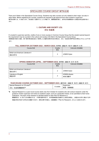## SPECIALIZED COURSE GROUP 専門科目群

There are 6 fields in the Specialized Course Group. Students may take courses not only related to their major, but also in other fields. Before registering for courses, students are required to get approval from each student's supervisor. 専門科目群には、6 系あります。系を越えて選択することも可能です。履修登録の前に、各学生の指導教員から承認を得る必要があり ます。

## **1. CULTURE AND SOCIETY (CS)**  文化・社会系

If a student's supervisor permits, credits of one or more courses in Common Course Group that the student earned beyond the requirement may be counted in the culture and society (CS) field in the Specialized Course Group. 指導教員が認めた場合、修了要件単位数を超えて修得した共通科目群の科目の単位を、文化・社会系の専門科目の単位とすることができ ます。

#### **FALL SEMESTER (OCTOBER 2022 – MARCH 2023)** 秋学期(**2022** 年 **10** 月~**2023** 年 **3** 月)

| Course 科目                                          | Credits<br>単位 | Instructor 担当教員 |
|----------------------------------------------------|---------------|-----------------|
| <b>British and American Literature II</b><br>英米文学Ⅱ | 2             | JONES Dylan     |

#### **SPRING SEMESTER (APRIL – SEPTEMBER 2023)** 春学期(**2023** 年 **4** 月~**9** 月)

| Course 科目                                          | Credits<br>単位  | Instructor 担当教員               |
|----------------------------------------------------|----------------|-------------------------------|
| <b>British and American Literature I</b><br>英米文学 I | $\overline{2}$ | <b>JONES Dylan</b>            |
| Literature of English<br>英語文学                      | 2              | <b>HONDA Atsuko</b><br>本田 安都子 |

#### **YEAR-ROUND COURSE (OCTOBER 2022 – SEPTEMBER 2023)** 通年科目(**2022** 年 **10** 月~**2023** 年 **9** 月)

| Special Research on CS area <sup>*6</sup> |         | Supervisor |
|-------------------------------------------|---------|------------|
| .糸課題研究*6<br>文化<br>74 AS V.                | credits | 指導教員<br>助言 |

**\*6** Special Research is a year-round course starts only from October for students who will conduct research under the guidance of their supervisor and write an academic paper, such as a graduation thesis, to be submitted to their home institutions. The topic of the research is decided based on their Plan for Research in. 課題研究は 10 月からのみ開始される 1 年間の通年科目で、本学指導教員の指導のもと研究を実施し、派遣元の大学に提出する卒 業論文等を作成する学生のみ履修できます。研究分野や内容は、応募書類の「Plan for Research」をもとに決定されます。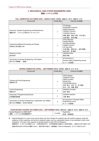## **2. MECHANICAL AND SYSTEM ENGINEERING (MSE)**  機械・システム工学系

| I ALL OLINLOTLIN (OOTODLIN 2022 - MAROIT 2020) $\frac{1}{4}$ $\frac{1}{4}$ $\frac{1}{3}$ $\frac{1}{4}$ $\frac{1}{2}$ $\frac{1}{4}$ $\frac{1}{2}$ |               |                                                                                                                                  |
|--------------------------------------------------------------------------------------------------------------------------------------------------|---------------|----------------------------------------------------------------------------------------------------------------------------------|
| Course 科目                                                                                                                                        | Credits 単位    | Instructor 担当教員                                                                                                                  |
|                                                                                                                                                  |               |                                                                                                                                  |
| Dynamics, Systems Engineering and Mechatronics<br>機械力学、システム工学及びメカトロニクス                                                                           | 2             | ITO Shingo,<br>KURATANI Fumiyasu,<br>KAWAI Masayuki,<br>YAMADA Yasuhiro,<br>YOSHIDA Tatsuya<br>伊藤 慎吾、鞍谷 文保、川井 昌之、<br>山田 泰弘、吉田 達哉 |
| Engineering Material Processing and Design<br>材料加工及び設計工学                                                                                         | $\mathcal{P}$ | OTSU Masaaki,<br>OKADA Masato,<br><b>HIYOSHI Noritake.</b><br>HONDA Tomomi.<br>LEI Xiao-Wen<br>大津 雅亮、岡田 将人、旭吉 雅健、<br>本田 知己、雷 霄雯  |
| Science on Form<br>形の科学                                                                                                                          | 2             | TAKADA Hiroki<br>髙田 宗樹                                                                                                           |
| Introduction to Nuclear Engineering I (Principles)<br>原子カエ学概論 I (基礎)                                                                             | 2             | All instructors in<br>Nuclear Safety Engineering course<br>N コース全教員                                                              |

### **FALL SEMESTER (OCTOBER 2022 – MARCH 2023)** 秋学期(**2022** 年 **10** 月~**2023** 年 **3** 月)

#### **SPRING SEMESTER (APRIL – SEPTEMBER 2023)** 春学期(**2023** 年 **4** 月~**9** 月)

| Course 科目                                                                           | Credits 単位     | Instructor 担当教員                                                                                                                 |
|-------------------------------------------------------------------------------------|----------------|---------------------------------------------------------------------------------------------------------------------------------|
| Thermal and Fluid Engineering<br>熱流体工学                                              | $\overline{2}$ | OHTA Takashi.<br>TANAKA Futoshi,<br>DANG Chaobin.<br>NAGAI Niro,<br><b>FUKUSHIMA Akinori</b><br>太田 貴士、田中 太、党 超鋲、<br>永井 二郎、福島 啓悟 |
| <b>Control Engineering</b><br>制御工学                                                  | 2              | NANIWA Tomohide<br>浪花 智英                                                                                                        |
| <b>Advanced C Programming Exercise</b><br>計算機言語演習                                   | 2              | OGOSHI Yasuhiro<br>小越 康宏                                                                                                        |
| Introduction to Nuclear Engineering II (Application and Safety)<br>原子力工学概論Ⅱ(応用と安全性) | 2              | All instructors in Nuclear Safety<br>Engineering course<br>N コース全教員                                                             |

#### **YEAR-ROUND COURSE (OCTOBER 2022 – SEPTEMBER 2023)** 通年科目(**2022** 年 **10** 月~**2023** 年 **9** 月)

| Special Research on MSE field* <sup>6</sup> |         | Supervisor |
|---------------------------------------------|---------|------------|
| 工学系課題研究*6<br>機械・システム                        | credits | 指導教員<br>助言 |

**\*6** Special Research is a year-round course starts only from October for students who will conduct research under the guidance of their supervisor and write an academic paper, such as a graduation thesis, to be submitted to their home institutions. The topic of the research is decided based on their Plan for Research. 課題研究は 10 月からのみ開始される 1 年間の通年科目で、本学指導教員の指導のもと研究を実施し、派遣元の大学に提出する卒 業論文等を作成する学生のみ履修できます。研究分野や内容は、応募書類の「Plan for Research」をもとに決定されます。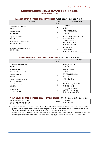## **3. ELECTRICAL, ELECTRONICS AND COMPUTER ENGINEERING (EEC)** 電気電子情報工学系

#### **FALL SEMESTER (OCTOBER 2022 – MARCH 2023)** 秋学期(**2022** 年 **10** 月~**2023** 年 **3** 月)

| Course 科目                                     | Credits<br>単位  | Instructor 担当教員                                            |
|-----------------------------------------------|----------------|------------------------------------------------------------|
| Introduction to Cryptology<br>暗号学入門           | 2              | <b>HIROSE Shoichi</b><br>廣瀬 勝一                             |
| <b>Vector Analysis</b><br>ベクトル解析              | 2              | <b>HASHIMOTO Akihiro</b><br>橋本 明弘                          |
| Image Processing<br>画像処理                      | $\overline{c}$ | TOKAI Shogo, ZHANG Chao<br>東海 彰吾、張潮                        |
| Mathematics in Communications<br>通信における数学     | $\mathfrak{p}$ | FUJIMOTO Mitoshi.<br><b>TACHIBANA Takuji</b><br>藤元 美俊、橘 拓至 |
| <b>Numerical Linear Computation</b><br>数値線形計算 | 2              | Mori Shin-ichiro.<br>Hirota Yusuke<br>森 眞一郎、廣田 悠輔          |

#### **SPRING SEMESTER (APRIL – SEPTEMBER 2023)** 春学期(**2023** 年 **4** 月~**9** 月)

| Course 科目                                     | Credits<br>単位  | Instructor 担当教員                                                  |
|-----------------------------------------------|----------------|------------------------------------------------------------------|
| <b>Condensed Matter Physics</b><br>固体物理学      | $\overline{c}$ | YAMAMOTO Kohji<br>山本 晃司                                          |
| <b>Neural Network</b><br>ニューラルネットワーク          | 2              | <b>WANG RongLong</b><br>王 栄龍                                     |
| Signal Processing<br>信号処理                     | 2              | <b>SAKAGUCHI Fuminori</b><br>坂口 文則                               |
| <b>Analog Electronic Circuits</b><br>アナログ電子回路 | $\overline{2}$ | <b>MORO Selichiro</b><br>茂呂 征一郎                                  |
| Image Processing<br>画像処理                      | $\overline{2}$ | TOKAI Shogo, ZHANG Chao<br>東海 彰吾、張 潮                             |
| Data Science<br>データサイエンス                      | 2              | HASEGAWA Tatsuhito,<br><b>WATASHIBA Yasuhiro</b><br>長谷川 達人、渡場 康弘 |

#### **YEAR-ROUND COURSE (OCTOBER 2022 – SEPTEMBER 2023)** 通年科目(**2022** 年 **10** 月~**2023** 年 **9** 月)

| ___<br>____<br>____<br>__                   |         | .<br>.     |
|---------------------------------------------|---------|------------|
| Special Research on EEC field* <sup>6</sup> |         | Supervisor |
| └学系課題研究*6<br>- 電気電子情報工                      | credits | 助言<br>指導教員 |

**\*6** Special Research is a year-round course starts only from October for students who will conduct research under the guidance of their supervisor and write an academic paper, such as a graduation thesis, to be submitted to their home institutions. The topic of the research is decided based on their Plan for Research. 課題研究は 10 月からのみ開始される 1 年間の通年科目で、本学指導教員の指導のもと研究を実施し、派遣元の大学に提出する卒 業論文等を作成する学生のみ履修できます。研究分野や内容は、応募書類の「Plan for Research」をもとに決定されます。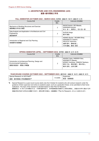## **4. ARCHITECTURE AND CIVIL ENGINEERING (ACE)**  建築・都市環境工学系

#### **FALL SEMESTER (OCTOBER 2022 – MARCH 2023)** 秋学期(**2022** 年 **10** 月~**2023** 年 **3** 月)

| Course 科目                                                                       | Credits<br>単位 | Instructor 担当教員                                                                                       |
|---------------------------------------------------------------------------------|---------------|-------------------------------------------------------------------------------------------------------|
| Mechanics of Building Structures and Exercise<br>建築構造力学及び演習                     | 2             | <b>INOUE Keiichi, ISO Masato,</b><br><b>ISHIKAWA Koichiro</b><br>井上 圭一、磯 雅人、石川 浩一郎                    |
| Data Analysis and Application in Architecture and Civil<br>Engineering<br>建設数理学 | 2             | SUZUKI Keigo<br>鈴木 啓悟                                                                                 |
| Introduction to Regional and City Planning<br>地域都市計画概論                          | 2             | ASANO Shuhei, NOJIMA Shinji,<br>KAWAMOTO Yoshimi.<br>KIKUCHI Yoshinobu<br>浅野 周平、野嶋 慎二、<br>川本 義海、菊地 吉信 |

#### **SPRING SEMESTER (APRIL – SEPTEMBER 2023)** 春学期(**2023** 年 **4** 月~**9** 月)

| Course 科目                                                                                               | Credits<br>単位 | Instructor 担当教員                                                                                                          |
|---------------------------------------------------------------------------------------------------------|---------------|--------------------------------------------------------------------------------------------------------------------------|
| Introduction to Architectural Planning, Design and<br><b>Environmental Engineering</b><br>建築計画設計・環境工学概論 | 2             | AKASHI Yukio, HARADA Yoko,<br>NISHIMOTO Masato.<br>MOMOI Yoshihisa, YAMADA Takeharu<br>明石 行生、原田 陽子、西本 雅人、<br>桃井 良尚、山田 岳晴 |

#### **YEAR-ROUND COURSE (OCTOBER 2022 – SEPTEMBER 2023)** 通年科目(**2022** 年 **10** 月~**2023** 年 **9** 月)

| Special Research on ACE field* <sup>6</sup> |           | Supervisor |
|---------------------------------------------|-----------|------------|
| 建築<br>都市環境工学系課題研究*6                         | 8 credits | 助言<br>指導教員 |

**\*6** Special Research is a year-round course starts only from October for students who will conduct research under the guidance of their supervisor and write an academic paper, such as a graduation thesis, to be submitted to their home institutions. The topic of the research is decided based on their Plan for Research.

課題研究は 10 月からのみ開始される 1 年間の通年科目で、本学指導教員の指導のもと研究を実施し、派遣元の大学に提出する卒 業論文等を作成する学生のみ履修できます。研究分野や内容は、応募書類の「Plan for Research」をもとに決定されます。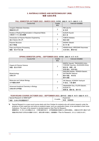## **5. MATERIALS SCIENCE AND BIOTECHNOLOGY (MSB)**  物質・生命化学系

#### **FALL SEMESTER (OCTOBER 2022 – MARCH 2023)** 秋学期(**2022** 年 **10** 月~**2023** 年 **3** 月)

| Course 科目                                                            | Credits<br>単位 | Instructor 担当教員                                |
|----------------------------------------------------------------------|---------------|------------------------------------------------|
| Inorganic Materials Chemistry<br>無機材料化学                              | 2             | KIM Jae-Ho<br>金 在虎                             |
| Kinetics of Radical Polymerization in Dispersed Media<br>分散系ラジカル重合機構 | 2             | SUZUKI Kiyoshi<br>鈴木 清                         |
| Introduction to Polymer Reaction Engineering<br>高分子反応工学入門            | 2             | <b>TOBITA Hidetaka</b><br>飛田 英孝                |
| <b>Polymer Structure</b><br>高分子構造                                    | 2             | SASAKI Takashi<br>佐々木 降                        |
| Fiber and Polymer Processing<br>繊維・高分子加工論                            | 2             | HISADA Kenji, HIROGAKI Kazumasa<br>久田 研次、廣垣 和正 |

#### **SPRING SEMESTER (APRIL – SEPTEMBER 2023)** 春学期(**2023** 年 **4** 月~**9** 月)

| Course 科目                                            | Credits<br>単位  | Instructor 担当教員                                                                                    |
|------------------------------------------------------|----------------|----------------------------------------------------------------------------------------------------|
| Organic & Polymer Science<br>有機・高分子科学                | $\overline{2}$ | MAEDA Yasushi, TAKAHASHI Ichiro,<br>YOSHIMI Yasuharu, SUGIHARA Shinji<br>前田 寧、髙橋 一朗<br>吉見 泰治、杉原 伸治 |
| Biotechnology<br>生物工学                                | $\overline{2}$ | SAKURAI Akihiko, TERADA Satoshi,<br>SATOMURA Takenori<br>櫻井 明彦、寺田 聡<br>里村 武範                       |
| Molecular and Cellular Biology<br>分子細胞生物学            | $\overline{2}$ | OKI Masaya, KONISHI Yoshiyuki<br>沖 昌也、小西 慶幸                                                        |
| Advanced Analytical Chemistry in Biology<br>生物分析化学特論 | 2              | TAKAHASHI Toru, FUJITA Satoshi,<br>SUZUKI Yu<br>高橋 透、藤田 聡、鈴木 悠                                     |

#### **YEAR-ROUND COURSE (OCTOBER 2022 – SEPTEMBER 2023)** 通年科目(**2022** 年 **10** 月~**2023** 年 **9** 月)

| l Research on MSB field* <sup>6</sup><br>Special |         | Supervisor |
|--------------------------------------------------|---------|------------|
| 物質<br>生命化学系課題研究*6                                | credits | 指導教員<br>助言 |

**\*6** Special Research is a year-round course starts only from October for students who will conduct research under the guidance of their supervisor and write an academic paper, such as a graduation thesis, to be submitted to their home institutions. The topic of the research is decided based on their Plan for Research. 課題研究は 10 月からのみ開始される 1 年間の通年科目で、本学指導教員の指導のもと研究を実施し、派遣元の大学に提出する卒 業論文等を作成する学生のみ履修できます。研究分野や内容は、応募書類の「Plan for Research」をもとに決定されます。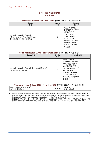## **6. APPLIED PHYSICS (AP)**  応用物理系

#### **FALL SEMESTER (October 2022 – March 2023)** 秋学期(**2022** 年 **10** 月~**2023** 年 **3** 月)

| Course                                                                                              | Credits        | Instructor                                                                                                                                                                          |
|-----------------------------------------------------------------------------------------------------|----------------|-------------------------------------------------------------------------------------------------------------------------------------------------------------------------------------|
| 科目                                                                                                  | 単位             | 担当教員                                                                                                                                                                                |
| Introduction to Applied Physics I<br>(Mathematical and Theoretical Physics)<br>応用物理概論 I (数理 · 理論分野) | $\overline{2}$ | KOGA Yoshiyuki,<br>MATSUMOTO Takuya,<br>TAJIMA Naoki.<br>SATO Yuji,<br>OGAWA Izumi,<br>TAMAI Yoshinori,<br>KOISHI Takahiro<br>古閑 義之, 松本 拓也,<br>田嶋 直樹, 佐藤 勇二,<br>小川泉, 玉井良則,<br>古石 貴裕 |

#### **SPRING SEMESTER (APRIL – SEPTEMBER 2023)** 春学期(**2023** 年 **4** 月~**9** 月)

| Course 科目                                                 | Credits        | Instructor 担当教員             |
|-----------------------------------------------------------|----------------|-----------------------------|
|                                                           | 単位             |                             |
|                                                           |                |                             |
|                                                           |                | ASANO Takayuki,             |
|                                                           |                | KUMAKURA Mitsutaka.         |
|                                                           |                | MORIYASU Tsuyoshi,          |
|                                                           |                | NISHIUMI Toyohiko,          |
|                                                           |                | <b>TATEMATSU Yoshinori.</b> |
| Introduction to Applied Physics II (Experimental Physics) | $\mathfrak{p}$ | MITSUDO Seitarou.           |
| 応用物理概論 II (実験分野)                                          |                | <b>TANI Masahiko</b>        |
|                                                           |                | 浅野 貴行,熊倉 光孝,                |
|                                                           |                | 守安 毅,西海 豊彦,                 |
|                                                           |                | 立松 芳典, 光藤 誠太郎,              |
|                                                           |                | 谷 正彦                        |

#### **Year-round course (October 2022 – September 2023)** 通年科目(**2022** 年 **10** 月~**2023** 年 **9** 月)

|                                                  | .            | _____<br>______           |
|--------------------------------------------------|--------------|---------------------------|
| on AP field* <sup>6</sup><br>Special<br>Research | $\cdots$     | Supervisor                |
| 応用物理系課題研究*6                                      | credits<br>ີ | <b>华道数吕</b><br>助言<br>"我 貝 |

**\*6** Special Research is a year-round course starts only from October for students who will conduct research under the guidance of their supervisor and write an academic paper, such as a graduation thesis, to be submitted to their home institutions. The topic of the research is decided based on their Plan for Research. 課題研究は 10 月からのみ開始される 1 年間の通年科目で、本学指導教員の指導のもと研究を実施し、派遣元の大学に提出する卒業 論文等を作成する学生のみ履修できます。研究分野や内容は、応募書類の「Plan for Research」をもとに決定されます。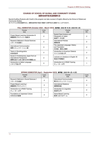## **COURSES OF SCHOOL OF GLOBAL AND COMMUNITY STUDIES** 国際地域学部英語開講科目

Special Auditing Students with Credit in this program can take courses in English offered by the School of Global and Community Studies.

本プログラムの特別聴講学生は、国際地域学部が英語で開講する専門科目も履修することができます。

#### **FALL SEMESTER (October 2022 – March 2023)** 秋学期(**2022** 年 **10** 月~**2023** 年 **3** 月)

| Course<br>科目                                                                             | Credits<br>単位 |
|------------------------------------------------------------------------------------------|---------------|
| Project Based Learning Introduction B<br>課題探究プロジェクト基礎B                                   | 2             |
| Research Methods in Social Sciences<br>リサーチ方法論Ⅱ                                          | 2             |
| International Communication<br>国際コミュニケーション論                                              | 2             |
| Topics in Sociolinguistics<br>社会言語学                                                      | 2             |
| Issues in Contemporary Japan from an<br>International Perspective<br>国際社会から見た現代日本の課題 ann | 2             |
| Introduction to Italian Language<br>イタリア語入門                                              | 2             |

| Course<br>科目                                                   | Credits<br>単位 |
|----------------------------------------------------------------|---------------|
| Spatial Data Analysis and<br>Geography of Japan<br>地域データ分析     | 2             |
| International Policies<br>国際政策                                 | 2             |
| The Japanese Language: History<br>and Translation<br>日本語:歴史と翻訳 | 2             |
| Introduction to American Dialects<br>アメリカ方言入門                  | 2             |
| Lectures on Literature in English III<br>英語文学講義Ⅲ               | 2             |
| Introduction to U-PASS Tutoring<br>チューター入門                     |               |

## **SPRING SEMESTER (April – September 2023)** 春学期(**2023** 年 **4** 月~**9** 月)

| Course<br>科目                                      | Credits<br>単位 |
|---------------------------------------------------|---------------|
| Research Methods in Social Sciences T<br>リサーチ方法論I | 2             |
| Project Based Learning I<br>課題探究プロジェクト1           | 2             |
| Introduction to U-PASS Tutoring<br>チューター入門        |               |
| <b>Foundations of Japanese Culture</b><br>日本文化の基礎 | 2             |

| Course<br>科目                                | Credits<br>単位 |
|---------------------------------------------|---------------|
| Intercultural Communication<br>異文化コミュニケーション | 2             |
| International Relations<br>国際関係論            | 2             |
| Introduction to Linguistics<br>言語学入門        | 2             |
| Game-Based Learning<br>教育におけるゲーム            | 2             |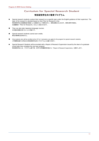# Curriculum for Special Research Student

# 特別研究学生向け教育プログラム

- Special research students conduct their research on a specific topic under the English guidance of their supervisor. The topic of the research is decided based on their Plan for Research in the. 特別研究学生は指導教員の英語による指導のもとで研究を行い、研究成果をまとめます。研究分野や内容は、 応募書類の「Plan for Research」をもとに決定されます。
- They can also take Japanese language courses. 日本語の授業を受けることも可能です。
- Special research students cannot earn credits. 単位の修得は出来ません。
- Only students who will be enrolled at the UF for 2 semesters can apply for the program for special research students. 2 学期間在籍する学生のみ特別研究学生向けプログラムに応募できます。
- Special Research Students will be provided with a Report of Research Supervision issued by the dean of a graduate school after they complete the one-year program. 特別研究学生には、プログラム修了時、本学での所属研究科長から「Report of Research Supervision」を発行します。